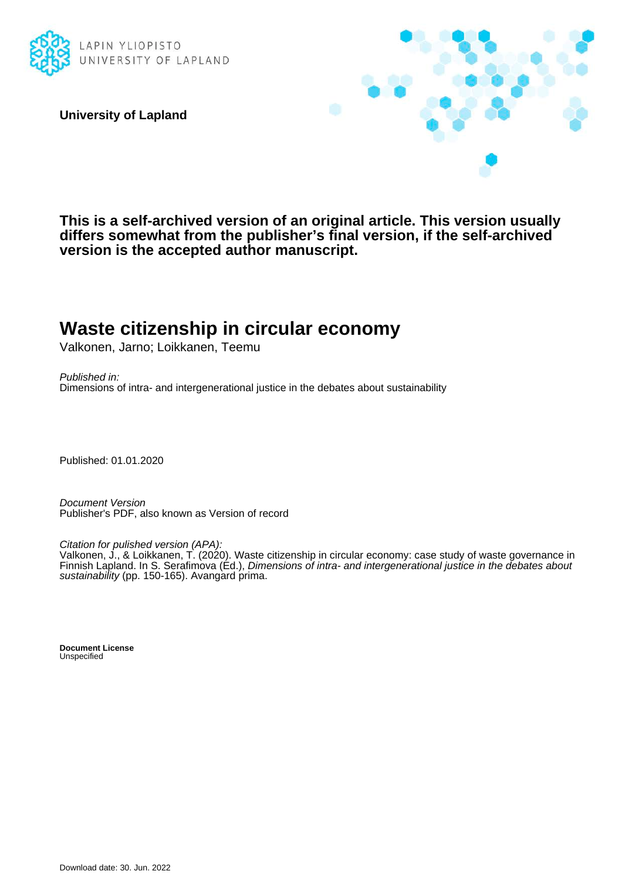

**University of Lapland**



**This is a self-archived version of an original article. This version usually differs somewhat from the publisher's final version, if the self-archived version is the accepted author manuscript.**

# **Waste citizenship in circular economy**

Valkonen, Jarno; Loikkanen, Teemu

Published in: Dimensions of intra- and intergenerational justice in the debates about sustainability

Published: 01.01.2020

Document Version Publisher's PDF, also known as Version of record

Citation for pulished version (APA):

Valkonen, J., & Loikkanen, T. (2020). Waste citizenship in circular economy: case study of waste governance in Finnish Lapland. In S. Serafimova (Ed.), Dimensions of intra- and intergenerational justice in the debates about sustainability (pp. 150-165). Avangard prima.

**Document License** Unspecified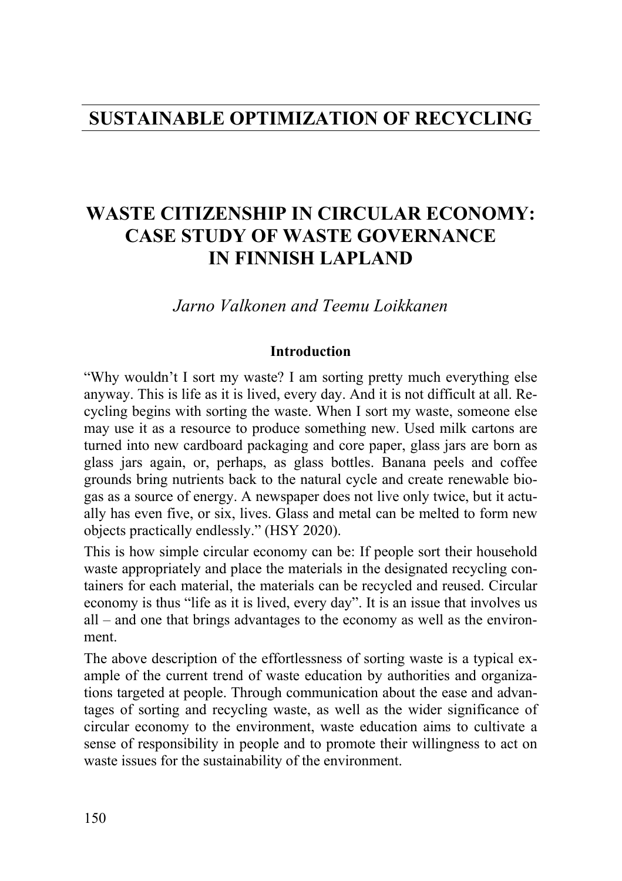### **SUSTAINABLE OPTIMIZATION OF RECYCLING**

## **WASTE CITIZENSHIP IN CIRCULAR ECONOMY: CASE STUDY OF WASTE GOVERNANCE IN FINNISH LAPLAND**

*Jarno Valkonen and Teemu Loikkanen*

#### **Introduction**

"Why wouldn't I sort my waste? I am sorting pretty much everything else anyway. This is life as it is lived, every day. And it is not difficult at all. Recycling begins with sorting the waste. When I sort my waste, someone else may use it as a resource to produce something new. Used milk cartons are turned into new cardboard packaging and core paper, glass jars are born as glass jars again, or, perhaps, as glass bottles. Banana peels and coffee grounds bring nutrients back to the natural cycle and create renewable biogas as a source of energy. A newspaper does not live only twice, but it actually has even five, or six, lives. Glass and metal can be melted to form new objects practically endlessly." (HSY 2020).

This is how simple circular economy can be: If people sort their household waste appropriately and place the materials in the designated recycling containers for each material, the materials can be recycled and reused. Circular economy is thus "life as it is lived, every day". It is an issue that involves us all – and one that brings advantages to the economy as well as the environment.

The above description of the effortlessness of sorting waste is a typical example of the current trend of waste education by authorities and organizations targeted at people. Through communication about the ease and advantages of sorting and recycling waste, as well as the wider significance of circular economy to the environment, waste education aims to cultivate a sense of responsibility in people and to promote their willingness to act on waste issues for the sustainability of the environment.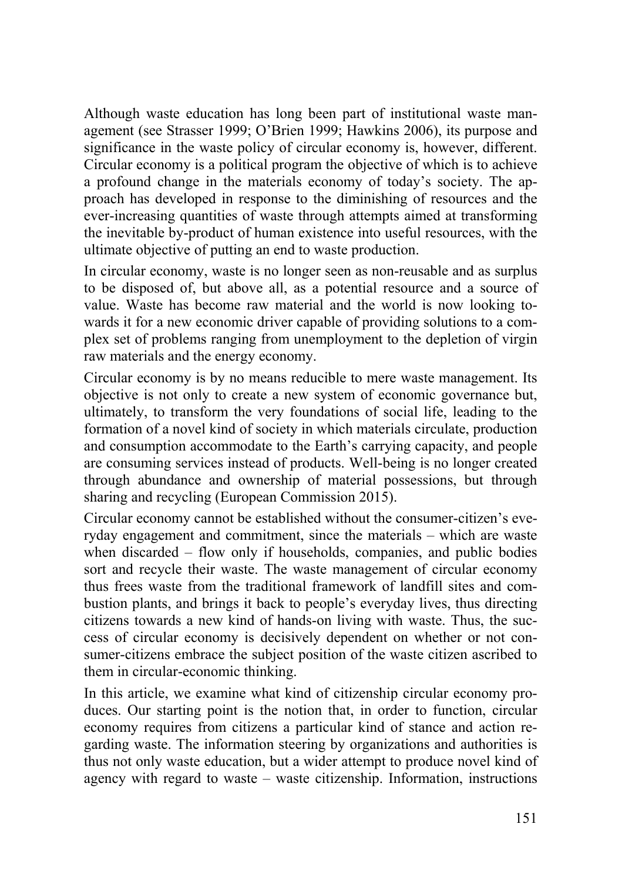Although waste education has long been part of institutional waste management (see Strasser 1999; O'Brien 1999; Hawkins 2006), its purpose and significance in the waste policy of circular economy is, however, different. Circular economy is a political program the objective of which is to achieve a profound change in the materials economy of today's society. The approach has developed in response to the diminishing of resources and the ever-increasing quantities of waste through attempts aimed at transforming the inevitable by-product of human existence into useful resources, with the ultimate objective of putting an end to waste production.

In circular economy, waste is no longer seen as non-reusable and as surplus to be disposed of, but above all, as a potential resource and a source of value. Waste has become raw material and the world is now looking towards it for a new economic driver capable of providing solutions to a complex set of problems ranging from unemployment to the depletion of virgin raw materials and the energy economy.

Circular economy is by no means reducible to mere waste management. Its objective is not only to create a new system of economic governance but, ultimately, to transform the very foundations of social life, leading to the formation of a novel kind of society in which materials circulate, production and consumption accommodate to the Earth's carrying capacity, and people are consuming services instead of products. Well-being is no longer created through abundance and ownership of material possessions, but through sharing and recycling (European Commission 2015).

Circular economy cannot be established without the consumer-citizen's everyday engagement and commitment, since the materials – which are waste when discarded – flow only if households, companies, and public bodies sort and recycle their waste. The waste management of circular economy thus frees waste from the traditional framework of landfill sites and combustion plants, and brings it back to people's everyday lives, thus directing citizens towards a new kind of hands-on living with waste. Thus, the success of circular economy is decisively dependent on whether or not consumer-citizens embrace the subject position of the waste citizen ascribed to them in circular-economic thinking.

In this article, we examine what kind of citizenship circular economy produces. Our starting point is the notion that, in order to function, circular economy requires from citizens a particular kind of stance and action regarding waste. The information steering by organizations and authorities is thus not only waste education, but a wider attempt to produce novel kind of agency with regard to waste – waste citizenship. Information, instructions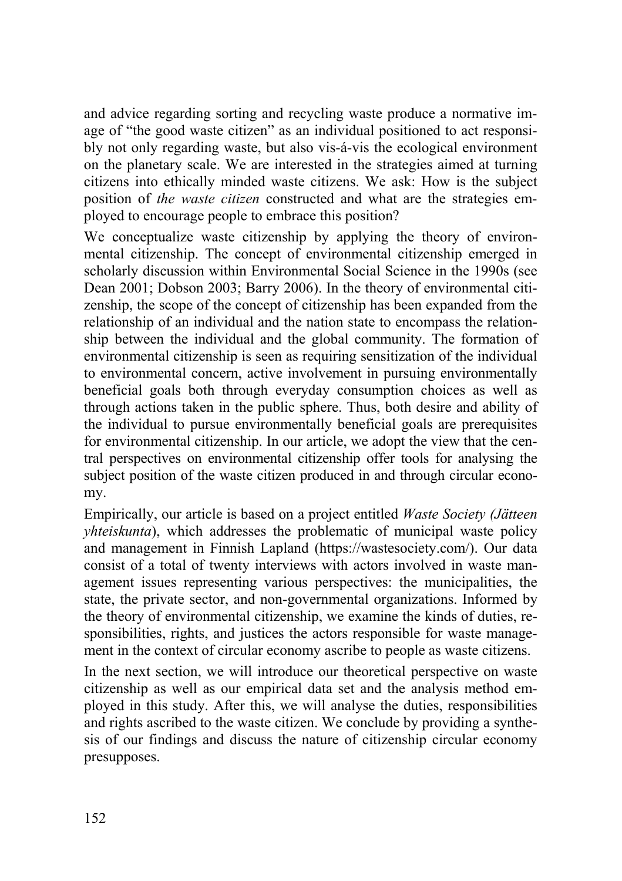and advice regarding sorting and recycling waste produce a normative image of "the good waste citizen" as an individual positioned to act responsibly not only regarding waste, but also vis-á-vis the ecological environment on the planetary scale. We are interested in the strategies aimed at turning citizens into ethically minded waste citizens. We ask: How is the subject position of *the waste citizen* constructed and what are the strategies employed to encourage people to embrace this position?

We conceptualize waste citizenship by applying the theory of environmental citizenship. The concept of environmental citizenship emerged in scholarly discussion within Environmental Social Science in the 1990s (see Dean 2001; Dobson 2003; Barry 2006). In the theory of environmental citizenship, the scope of the concept of citizenship has been expanded from the relationship of an individual and the nation state to encompass the relationship between the individual and the global community. The formation of environmental citizenship is seen as requiring sensitization of the individual to environmental concern, active involvement in pursuing environmentally beneficial goals both through everyday consumption choices as well as through actions taken in the public sphere. Thus, both desire and ability of the individual to pursue environmentally beneficial goals are prerequisites for environmental citizenship. In our article, we adopt the view that the central perspectives on environmental citizenship offer tools for analysing the subject position of the waste citizen produced in and through circular economy.

Empirically, our article is based on a project entitled *Waste Society (Jätteen yhteiskunta*), which addresses the problematic of municipal waste policy and management in Finnish Lapland (https://wastesociety.com/). Our data consist of a total of twenty interviews with actors involved in waste management issues representing various perspectives: the municipalities, the state, the private sector, and non-governmental organizations. Informed by the theory of environmental citizenship, we examine the kinds of duties, responsibilities, rights, and justices the actors responsible for waste management in the context of circular economy ascribe to people as waste citizens.

In the next section, we will introduce our theoretical perspective on waste citizenship as well as our empirical data set and the analysis method employed in this study. After this, we will analyse the duties, responsibilities and rights ascribed to the waste citizen. We conclude by providing a synthesis of our findings and discuss the nature of citizenship circular economy presupposes.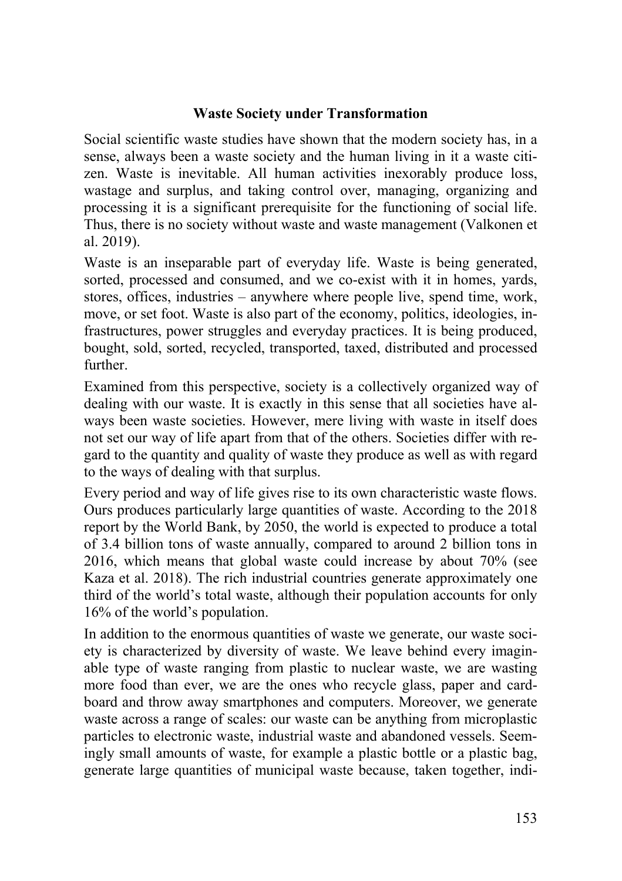#### **Waste Society under Transformation**

Social scientific waste studies have shown that the modern society has, in a sense, always been a waste society and the human living in it a waste citizen. Waste is inevitable. All human activities inexorably produce loss, wastage and surplus, and taking control over, managing, organizing and processing it is a significant prerequisite for the functioning of social life. Thus, there is no society without waste and waste management (Valkonen et al. 2019).

Waste is an inseparable part of everyday life. Waste is being generated, sorted, processed and consumed, and we co-exist with it in homes, yards, stores, offices, industries – anywhere where people live, spend time, work, move, or set foot. Waste is also part of the economy, politics, ideologies, infrastructures, power struggles and everyday practices. It is being produced, bought, sold, sorted, recycled, transported, taxed, distributed and processed further.

Examined from this perspective, society is a collectively organized way of dealing with our waste. It is exactly in this sense that all societies have always been waste societies. However, mere living with waste in itself does not set our way of life apart from that of the others. Societies differ with regard to the quantity and quality of waste they produce as well as with regard to the ways of dealing with that surplus.

Every period and way of life gives rise to its own characteristic waste flows. Ours produces particularly large quantities of waste. According to the 2018 report by the World Bank, by 2050, the world is expected to produce a total of 3.4 billion tons of waste annually, compared to around 2 billion tons in 2016, which means that global waste could increase by about 70% (see Kaza et al. 2018). The rich industrial countries generate approximately one third of the world's total waste, although their population accounts for only 16% of the world's population.

In addition to the enormous quantities of waste we generate, our waste society is characterized by diversity of waste. We leave behind every imaginable type of waste ranging from plastic to nuclear waste, we are wasting more food than ever, we are the ones who recycle glass, paper and cardboard and throw away smartphones and computers. Moreover, we generate waste across a range of scales: our waste can be anything from microplastic particles to electronic waste, industrial waste and abandoned vessels. Seemingly small amounts of waste, for example a plastic bottle or a plastic bag, generate large quantities of municipal waste because, taken together, indi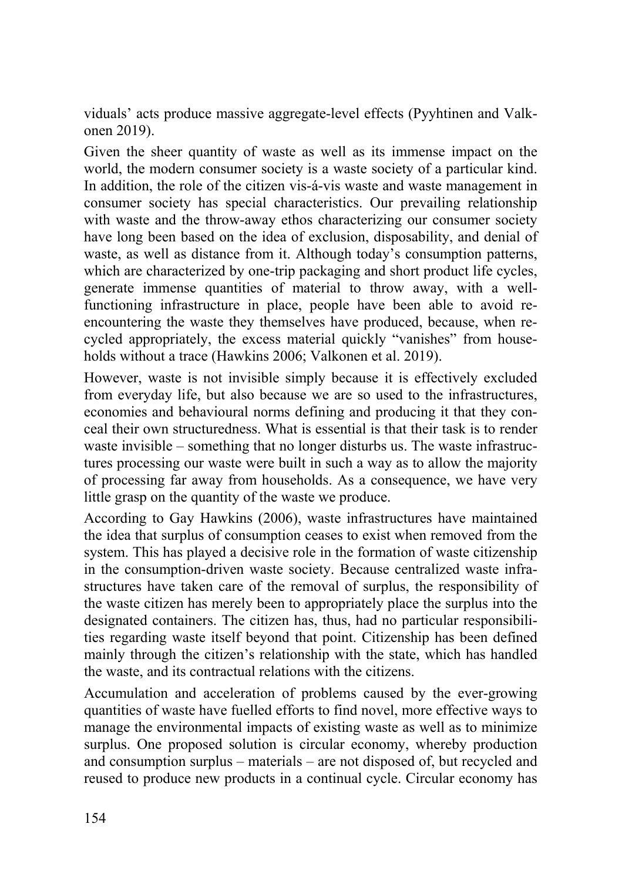viduals' acts produce massive aggregate-level effects (Pyyhtinen and Valkonen 2019).

Given the sheer quantity of waste as well as its immense impact on the world, the modern consumer society is a waste society of a particular kind. In addition, the role of the citizen vis-á-vis waste and waste management in consumer society has special characteristics. Our prevailing relationship with waste and the throw-away ethos characterizing our consumer society have long been based on the idea of exclusion, disposability, and denial of waste, as well as distance from it. Although today's consumption patterns, which are characterized by one-trip packaging and short product life cycles, generate immense quantities of material to throw away, with a wellfunctioning infrastructure in place, people have been able to avoid reencountering the waste they themselves have produced, because, when recycled appropriately, the excess material quickly "vanishes" from households without a trace (Hawkins 2006; Valkonen et al. 2019).

However, waste is not invisible simply because it is effectively excluded from everyday life, but also because we are so used to the infrastructures, economies and behavioural norms defining and producing it that they conceal their own structuredness. What is essential is that their task is to render waste invisible – something that no longer disturbs us. The waste infrastructures processing our waste were built in such a way as to allow the majority of processing far away from households. As a consequence, we have very little grasp on the quantity of the waste we produce.

According to Gay Hawkins (2006), waste infrastructures have maintained the idea that surplus of consumption ceases to exist when removed from the system. This has played a decisive role in the formation of waste citizenship in the consumption-driven waste society. Because centralized waste infrastructures have taken care of the removal of surplus, the responsibility of the waste citizen has merely been to appropriately place the surplus into the designated containers. The citizen has, thus, had no particular responsibilities regarding waste itself beyond that point. Citizenship has been defined mainly through the citizen's relationship with the state, which has handled the waste, and its contractual relations with the citizens.

Accumulation and acceleration of problems caused by the ever-growing quantities of waste have fuelled efforts to find novel, more effective ways to manage the environmental impacts of existing waste as well as to minimize surplus. One proposed solution is circular economy, whereby production and consumption surplus – materials – are not disposed of, but recycled and reused to produce new products in a continual cycle. Circular economy has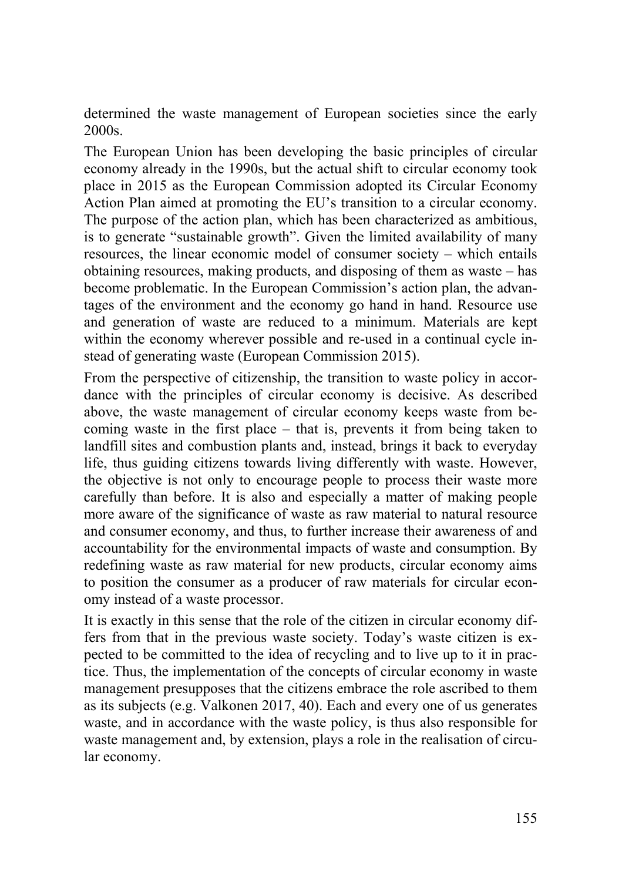determined the waste management of European societies since the early 2000s.

The European Union has been developing the basic principles of circular economy already in the 1990s, but the actual shift to circular economy took place in 2015 as the European Commission adopted its Circular Economy Action Plan aimed at promoting the EU's transition to a circular economy. The purpose of the action plan, which has been characterized as ambitious, is to generate "sustainable growth". Given the limited availability of many resources, the linear economic model of consumer society – which entails obtaining resources, making products, and disposing of them as waste – has become problematic. In the European Commission's action plan, the advantages of the environment and the economy go hand in hand. Resource use and generation of waste are reduced to a minimum. Materials are kept within the economy wherever possible and re-used in a continual cycle instead of generating waste (European Commission 2015).

From the perspective of citizenship, the transition to waste policy in accordance with the principles of circular economy is decisive. As described above, the waste management of circular economy keeps waste from becoming waste in the first place – that is, prevents it from being taken to landfill sites and combustion plants and, instead, brings it back to everyday life, thus guiding citizens towards living differently with waste. However, the objective is not only to encourage people to process their waste more carefully than before. It is also and especially a matter of making people more aware of the significance of waste as raw material to natural resource and consumer economy, and thus, to further increase their awareness of and accountability for the environmental impacts of waste and consumption. By redefining waste as raw material for new products, circular economy aims to position the consumer as a producer of raw materials for circular economy instead of a waste processor.

It is exactly in this sense that the role of the citizen in circular economy differs from that in the previous waste society. Today's waste citizen is expected to be committed to the idea of recycling and to live up to it in practice. Thus, the implementation of the concepts of circular economy in waste management presupposes that the citizens embrace the role ascribed to them as its subjects (e.g. Valkonen 2017, 40). Each and every one of us generates waste, and in accordance with the waste policy, is thus also responsible for waste management and, by extension, plays a role in the realisation of circular economy.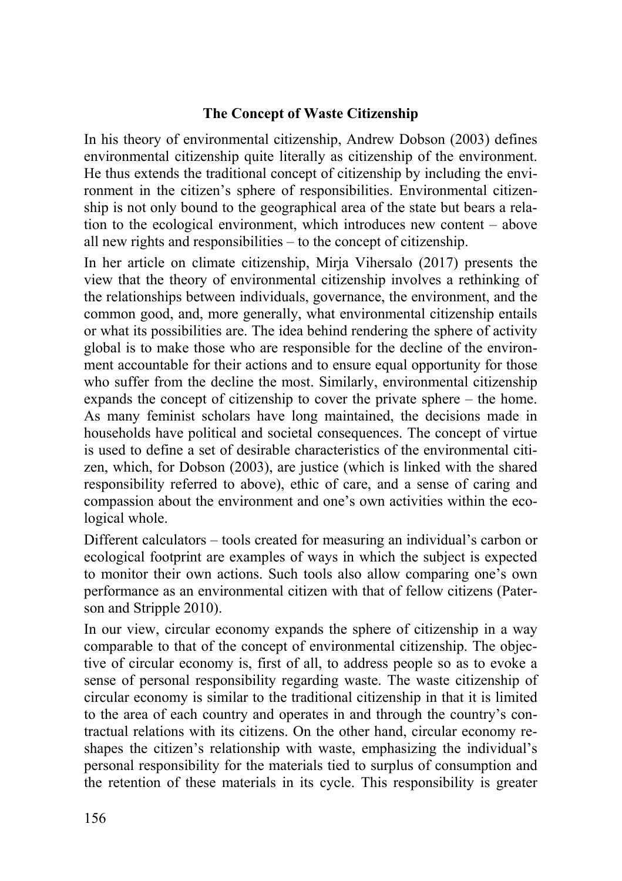#### **The Concept of Waste Citizenship**

In his theory of environmental citizenship, Andrew Dobson (2003) defines environmental citizenship quite literally as citizenship of the environment. He thus extends the traditional concept of citizenship by including the environment in the citizen's sphere of responsibilities. Environmental citizenship is not only bound to the geographical area of the state but bears a relation to the ecological environment, which introduces new content – above all new rights and responsibilities – to the concept of citizenship.

In her article on climate citizenship, Mirja Vihersalo (2017) presents the view that the theory of environmental citizenship involves a rethinking of the relationships between individuals, governance, the environment, and the common good, and, more generally, what environmental citizenship entails or what its possibilities are. The idea behind rendering the sphere of activity global is to make those who are responsible for the decline of the environment accountable for their actions and to ensure equal opportunity for those who suffer from the decline the most. Similarly, environmental citizenship expands the concept of citizenship to cover the private sphere – the home. As many feminist scholars have long maintained, the decisions made in households have political and societal consequences. The concept of virtue is used to define a set of desirable characteristics of the environmental citizen, which, for Dobson (2003), are justice (which is linked with the shared responsibility referred to above), ethic of care, and a sense of caring and compassion about the environment and one's own activities within the ecological whole.

Different calculators – tools created for measuring an individual's carbon or ecological footprint are examples of ways in which the subject is expected to monitor their own actions. Such tools also allow comparing one's own performance as an environmental citizen with that of fellow citizens (Paterson and Stripple 2010).

In our view, circular economy expands the sphere of citizenship in a way comparable to that of the concept of environmental citizenship. The objective of circular economy is, first of all, to address people so as to evoke a sense of personal responsibility regarding waste. The waste citizenship of circular economy is similar to the traditional citizenship in that it is limited to the area of each country and operates in and through the country's contractual relations with its citizens. On the other hand, circular economy reshapes the citizen's relationship with waste, emphasizing the individual's personal responsibility for the materials tied to surplus of consumption and the retention of these materials in its cycle. This responsibility is greater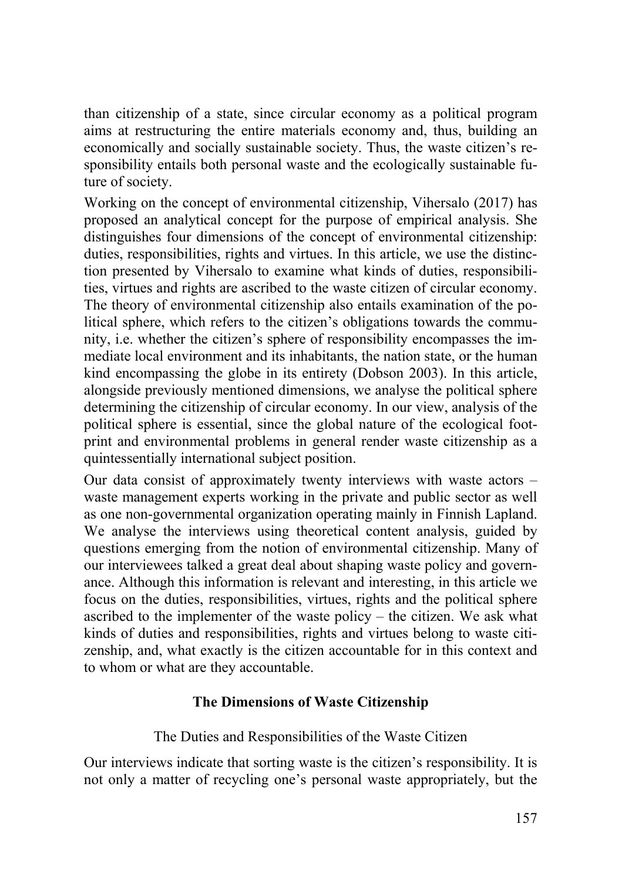than citizenship of a state, since circular economy as a political program aims at restructuring the entire materials economy and, thus, building an economically and socially sustainable society. Thus, the waste citizen's responsibility entails both personal waste and the ecologically sustainable future of society.

Working on the concept of environmental citizenship, Vihersalo (2017) has proposed an analytical concept for the purpose of empirical analysis. She distinguishes four dimensions of the concept of environmental citizenship: duties, responsibilities, rights and virtues. In this article, we use the distinction presented by Vihersalo to examine what kinds of duties, responsibilities, virtues and rights are ascribed to the waste citizen of circular economy. The theory of environmental citizenship also entails examination of the political sphere, which refers to the citizen's obligations towards the community, i.e. whether the citizen's sphere of responsibility encompasses the immediate local environment and its inhabitants, the nation state, or the human kind encompassing the globe in its entirety (Dobson 2003). In this article, alongside previously mentioned dimensions, we analyse the political sphere determining the citizenship of circular economy. In our view, analysis of the political sphere is essential, since the global nature of the ecological footprint and environmental problems in general render waste citizenship as a quintessentially international subject position.

Our data consist of approximately twenty interviews with waste actors – waste management experts working in the private and public sector as well as one non-governmental organization operating mainly in Finnish Lapland. We analyse the interviews using theoretical content analysis, guided by questions emerging from the notion of environmental citizenship. Many of our interviewees talked a great deal about shaping waste policy and governance. Although this information is relevant and interesting, in this article we focus on the duties, responsibilities, virtues, rights and the political sphere ascribed to the implementer of the waste policy – the citizen. We ask what kinds of duties and responsibilities, rights and virtues belong to waste citizenship, and, what exactly is the citizen accountable for in this context and to whom or what are they accountable.

#### **The Dimensions of Waste Citizenship**

#### The Duties and Responsibilities of the Waste Citizen

Our interviews indicate that sorting waste is the citizen's responsibility. It is not only a matter of recycling one's personal waste appropriately, but the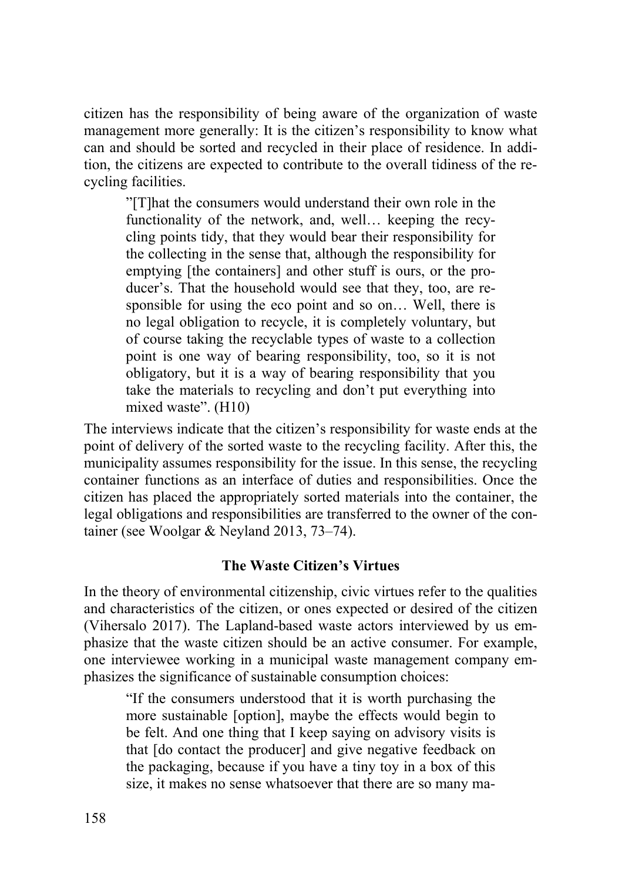citizen has the responsibility of being aware of the organization of waste management more generally: It is the citizen's responsibility to know what can and should be sorted and recycled in their place of residence. In addition, the citizens are expected to contribute to the overall tidiness of the recycling facilities.

"[T]hat the consumers would understand their own role in the functionality of the network, and, well… keeping the recycling points tidy, that they would bear their responsibility for the collecting in the sense that, although the responsibility for emptying [the containers] and other stuff is ours, or the producer's. That the household would see that they, too, are responsible for using the eco point and so on… Well, there is no legal obligation to recycle, it is completely voluntary, but of course taking the recyclable types of waste to a collection point is one way of bearing responsibility, too, so it is not obligatory, but it is a way of bearing responsibility that you take the materials to recycling and don't put everything into mixed waste". (H10)

The interviews indicate that the citizen's responsibility for waste ends at the point of delivery of the sorted waste to the recycling facility. After this, the municipality assumes responsibility for the issue. In this sense, the recycling container functions as an interface of duties and responsibilities. Once the citizen has placed the appropriately sorted materials into the container, the legal obligations and responsibilities are transferred to the owner of the container (see Woolgar & Neyland 2013, 73–74).

#### **The Waste Citizen's Virtues**

In the theory of environmental citizenship, civic virtues refer to the qualities and characteristics of the citizen, or ones expected or desired of the citizen (Vihersalo 2017). The Lapland-based waste actors interviewed by us emphasize that the waste citizen should be an active consumer. For example, one interviewee working in a municipal waste management company emphasizes the significance of sustainable consumption choices:

"If the consumers understood that it is worth purchasing the more sustainable [option], maybe the effects would begin to be felt. And one thing that I keep saying on advisory visits is that [do contact the producer] and give negative feedback on the packaging, because if you have a tiny toy in a box of this size, it makes no sense whatsoever that there are so many ma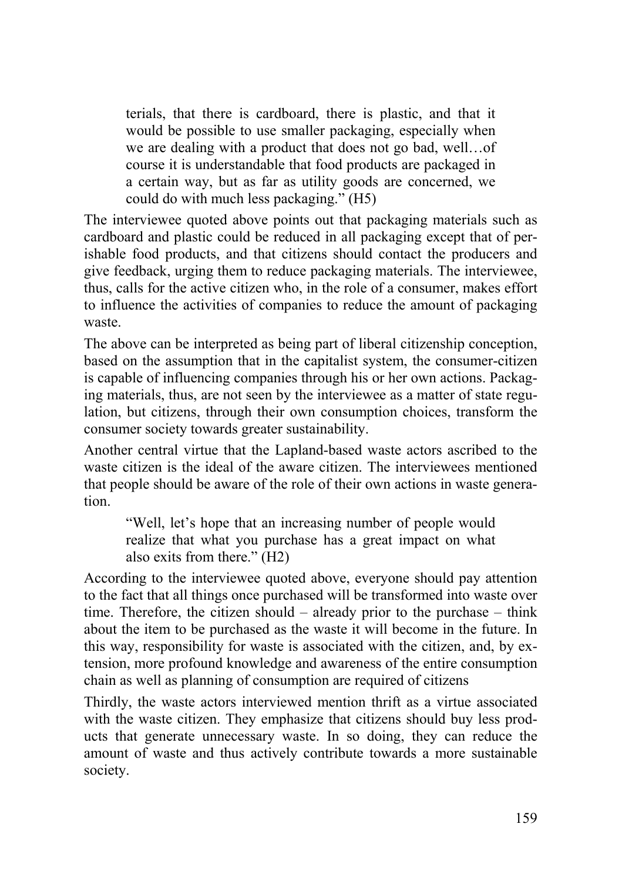terials, that there is cardboard, there is plastic, and that it would be possible to use smaller packaging, especially when we are dealing with a product that does not go bad, well…of course it is understandable that food products are packaged in a certain way, but as far as utility goods are concerned, we could do with much less packaging." (H5)

The interviewee quoted above points out that packaging materials such as cardboard and plastic could be reduced in all packaging except that of perishable food products, and that citizens should contact the producers and give feedback, urging them to reduce packaging materials. The interviewee, thus, calls for the active citizen who, in the role of a consumer, makes effort to influence the activities of companies to reduce the amount of packaging waste.

The above can be interpreted as being part of liberal citizenship conception, based on the assumption that in the capitalist system, the consumer-citizen is capable of influencing companies through his or her own actions. Packaging materials, thus, are not seen by the interviewee as a matter of state regulation, but citizens, through their own consumption choices, transform the consumer society towards greater sustainability.

Another central virtue that the Lapland-based waste actors ascribed to the waste citizen is the ideal of the aware citizen. The interviewees mentioned that people should be aware of the role of their own actions in waste generation.

"Well, let's hope that an increasing number of people would realize that what you purchase has a great impact on what also exits from there." (H2)

According to the interviewee quoted above, everyone should pay attention to the fact that all things once purchased will be transformed into waste over time. Therefore, the citizen should – already prior to the purchase – think about the item to be purchased as the waste it will become in the future. In this way, responsibility for waste is associated with the citizen, and, by extension, more profound knowledge and awareness of the entire consumption chain as well as planning of consumption are required of citizens

Thirdly, the waste actors interviewed mention thrift as a virtue associated with the waste citizen. They emphasize that citizens should buy less products that generate unnecessary waste. In so doing, they can reduce the amount of waste and thus actively contribute towards a more sustainable society.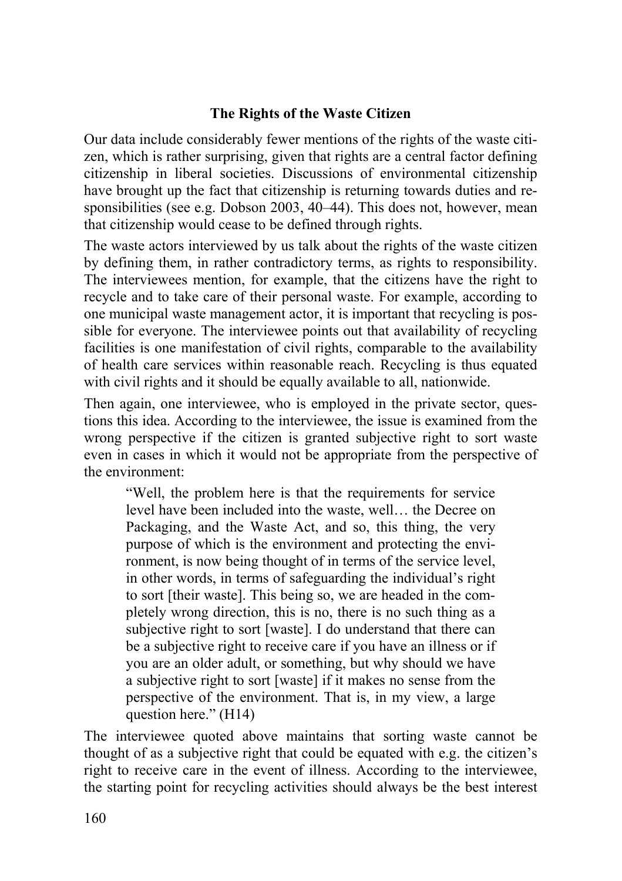#### **The Rights of the Waste Citizen**

Our data include considerably fewer mentions of the rights of the waste citizen, which is rather surprising, given that rights are a central factor defining citizenship in liberal societies. Discussions of environmental citizenship have brought up the fact that citizenship is returning towards duties and responsibilities (see e.g. Dobson 2003, 40–44). This does not, however, mean that citizenship would cease to be defined through rights.

The waste actors interviewed by us talk about the rights of the waste citizen by defining them, in rather contradictory terms, as rights to responsibility. The interviewees mention, for example, that the citizens have the right to recycle and to take care of their personal waste. For example, according to one municipal waste management actor, it is important that recycling is possible for everyone. The interviewee points out that availability of recycling facilities is one manifestation of civil rights, comparable to the availability of health care services within reasonable reach. Recycling is thus equated with civil rights and it should be equally available to all, nationwide.

Then again, one interviewee, who is employed in the private sector, questions this idea. According to the interviewee, the issue is examined from the wrong perspective if the citizen is granted subjective right to sort waste even in cases in which it would not be appropriate from the perspective of the environment:

"Well, the problem here is that the requirements for service level have been included into the waste, well… the Decree on Packaging, and the Waste Act, and so, this thing, the very purpose of which is the environment and protecting the environment, is now being thought of in terms of the service level, in other words, in terms of safeguarding the individual's right to sort [their waste]. This being so, we are headed in the completely wrong direction, this is no, there is no such thing as a subjective right to sort [waste]. I do understand that there can be a subjective right to receive care if you have an illness or if you are an older adult, or something, but why should we have a subjective right to sort [waste] if it makes no sense from the perspective of the environment. That is, in my view, a large question here." (H14)

The interviewee quoted above maintains that sorting waste cannot be thought of as a subjective right that could be equated with e.g. the citizen's right to receive care in the event of illness. According to the interviewee, the starting point for recycling activities should always be the best interest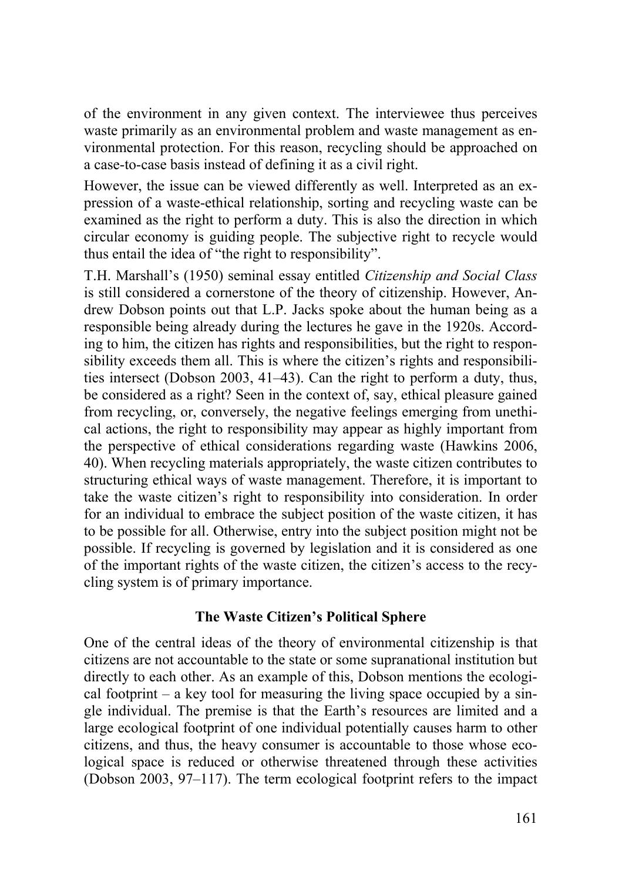of the environment in any given context. The interviewee thus perceives waste primarily as an environmental problem and waste management as environmental protection. For this reason, recycling should be approached on a case-to-case basis instead of defining it as a civil right.

However, the issue can be viewed differently as well. Interpreted as an expression of a waste-ethical relationship, sorting and recycling waste can be examined as the right to perform a duty. This is also the direction in which circular economy is guiding people. The subjective right to recycle would thus entail the idea of "the right to responsibility".

T.H. Marshall's (1950) seminal essay entitled *Citizenship and Social Class*  is still considered a cornerstone of the theory of citizenship. However, Andrew Dobson points out that L.P. Jacks spoke about the human being as a responsible being already during the lectures he gave in the 1920s. According to him, the citizen has rights and responsibilities, but the right to responsibility exceeds them all. This is where the citizen's rights and responsibilities intersect (Dobson 2003, 41–43). Can the right to perform a duty, thus, be considered as a right? Seen in the context of, say, ethical pleasure gained from recycling, or, conversely, the negative feelings emerging from unethical actions, the right to responsibility may appear as highly important from the perspective of ethical considerations regarding waste (Hawkins 2006, 40). When recycling materials appropriately, the waste citizen contributes to structuring ethical ways of waste management. Therefore, it is important to take the waste citizen's right to responsibility into consideration. In order for an individual to embrace the subject position of the waste citizen, it has to be possible for all. Otherwise, entry into the subject position might not be possible. If recycling is governed by legislation and it is considered as one of the important rights of the waste citizen, the citizen's access to the recycling system is of primary importance.

#### **The Waste Citizen's Political Sphere**

One of the central ideas of the theory of environmental citizenship is that citizens are not accountable to the state or some supranational institution but directly to each other. As an example of this, Dobson mentions the ecological footprint – a key tool for measuring the living space occupied by a single individual. The premise is that the Earth's resources are limited and a large ecological footprint of one individual potentially causes harm to other citizens, and thus, the heavy consumer is accountable to those whose ecological space is reduced or otherwise threatened through these activities (Dobson 2003, 97–117). The term ecological footprint refers to the impact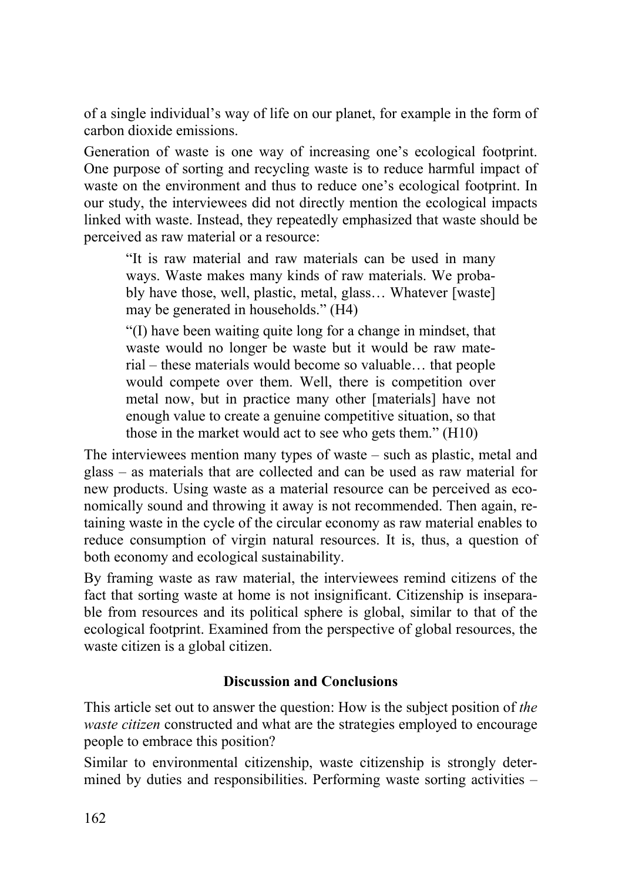of a single individual's way of life on our planet, for example in the form of carbon dioxide emissions.

Generation of waste is one way of increasing one's ecological footprint. One purpose of sorting and recycling waste is to reduce harmful impact of waste on the environment and thus to reduce one's ecological footprint. In our study, the interviewees did not directly mention the ecological impacts linked with waste. Instead, they repeatedly emphasized that waste should be perceived as raw material or a resource:

"It is raw material and raw materials can be used in many ways. Waste makes many kinds of raw materials. We probably have those, well, plastic, metal, glass… Whatever [waste] may be generated in households." (H4)

"(I) have been waiting quite long for a change in mindset, that waste would no longer be waste but it would be raw material – these materials would become so valuable… that people would compete over them. Well, there is competition over metal now, but in practice many other [materials] have not enough value to create a genuine competitive situation, so that those in the market would act to see who gets them." (H10)

The interviewees mention many types of waste – such as plastic, metal and glass – as materials that are collected and can be used as raw material for new products. Using waste as a material resource can be perceived as economically sound and throwing it away is not recommended. Then again, retaining waste in the cycle of the circular economy as raw material enables to reduce consumption of virgin natural resources. It is, thus, a question of both economy and ecological sustainability.

By framing waste as raw material, the interviewees remind citizens of the fact that sorting waste at home is not insignificant. Citizenship is inseparable from resources and its political sphere is global, similar to that of the ecological footprint. Examined from the perspective of global resources, the waste citizen is a global citizen.

#### **Discussion and Conclusions**

This article set out to answer the question: How is the subject position of *the waste citizen* constructed and what are the strategies employed to encourage people to embrace this position?

Similar to environmental citizenship, waste citizenship is strongly determined by duties and responsibilities. Performing waste sorting activities –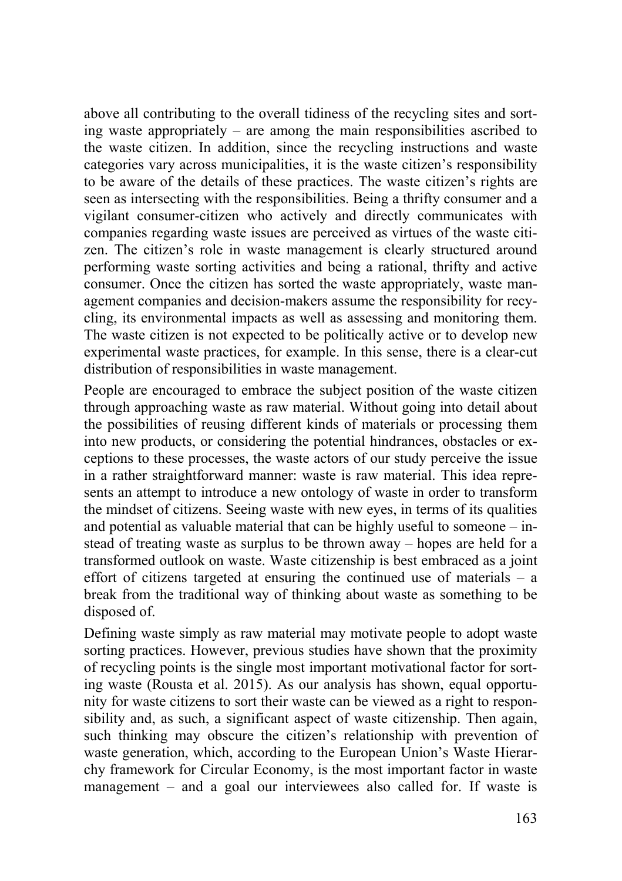above all contributing to the overall tidiness of the recycling sites and sorting waste appropriately – are among the main responsibilities ascribed to the waste citizen. In addition, since the recycling instructions and waste categories vary across municipalities, it is the waste citizen's responsibility to be aware of the details of these practices. The waste citizen's rights are seen as intersecting with the responsibilities. Being a thrifty consumer and a vigilant consumer-citizen who actively and directly communicates with companies regarding waste issues are perceived as virtues of the waste citizen. The citizen's role in waste management is clearly structured around performing waste sorting activities and being a rational, thrifty and active consumer. Once the citizen has sorted the waste appropriately, waste management companies and decision-makers assume the responsibility for recycling, its environmental impacts as well as assessing and monitoring them. The waste citizen is not expected to be politically active or to develop new experimental waste practices, for example. In this sense, there is a clear-cut distribution of responsibilities in waste management.

People are encouraged to embrace the subject position of the waste citizen through approaching waste as raw material. Without going into detail about the possibilities of reusing different kinds of materials or processing them into new products, or considering the potential hindrances, obstacles or exceptions to these processes, the waste actors of our study perceive the issue in a rather straightforward manner: waste is raw material. This idea represents an attempt to introduce a new ontology of waste in order to transform the mindset of citizens. Seeing waste with new eyes, in terms of its qualities and potential as valuable material that can be highly useful to someone – instead of treating waste as surplus to be thrown away – hopes are held for a transformed outlook on waste. Waste citizenship is best embraced as a joint effort of citizens targeted at ensuring the continued use of materials – a break from the traditional way of thinking about waste as something to be disposed of.

Defining waste simply as raw material may motivate people to adopt waste sorting practices. However, previous studies have shown that the proximity of recycling points is the single most important motivational factor for sorting waste (Rousta et al. 2015). As our analysis has shown, equal opportunity for waste citizens to sort their waste can be viewed as a right to responsibility and, as such, a significant aspect of waste citizenship. Then again, such thinking may obscure the citizen's relationship with prevention of waste generation, which, according to the European Union's Waste Hierarchy framework for Circular Economy, is the most important factor in waste management – and a goal our interviewees also called for. If waste is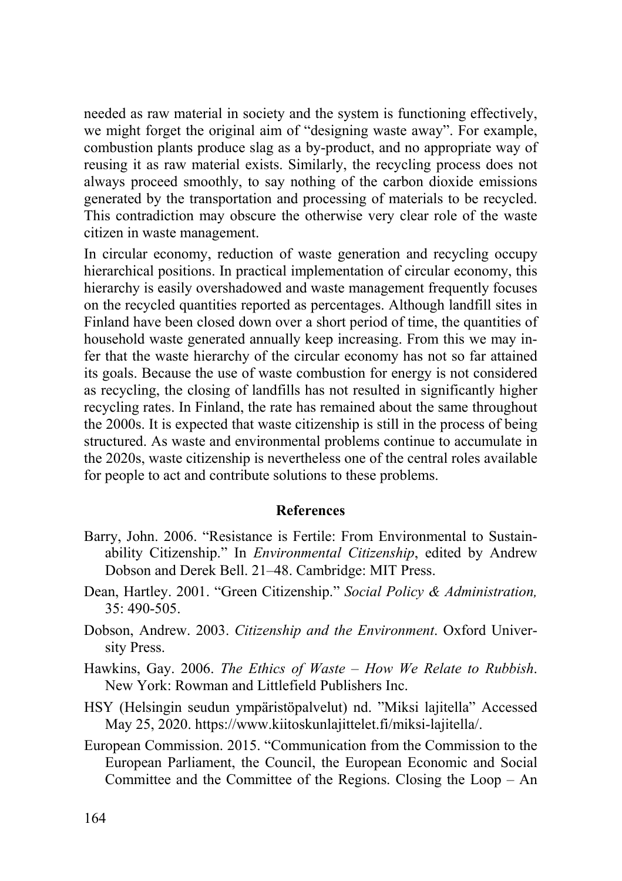needed as raw material in society and the system is functioning effectively, we might forget the original aim of "designing waste away". For example, combustion plants produce slag as a by-product, and no appropriate way of reusing it as raw material exists. Similarly, the recycling process does not always proceed smoothly, to say nothing of the carbon dioxide emissions generated by the transportation and processing of materials to be recycled. This contradiction may obscure the otherwise very clear role of the waste citizen in waste management.

In circular economy, reduction of waste generation and recycling occupy hierarchical positions. In practical implementation of circular economy, this hierarchy is easily overshadowed and waste management frequently focuses on the recycled quantities reported as percentages. Although landfill sites in Finland have been closed down over a short period of time, the quantities of household waste generated annually keep increasing. From this we may infer that the waste hierarchy of the circular economy has not so far attained its goals. Because the use of waste combustion for energy is not considered as recycling, the closing of landfills has not resulted in significantly higher recycling rates. In Finland, the rate has remained about the same throughout the 2000s. It is expected that waste citizenship is still in the process of being structured. As waste and environmental problems continue to accumulate in the 2020s, waste citizenship is nevertheless one of the central roles available for people to act and contribute solutions to these problems.

#### **References**

- Barry, John. 2006. "Resistance is Fertile: From Environmental to Sustainability Citizenship." In *Environmental Citizenship*, edited by Andrew Dobson and Derek Bell. 21–48. Cambridge: MIT Press.
- Dean, Hartley. 2001. "Green Citizenship." *Social Policy & Administration,*  35: 490-505.
- Dobson, Andrew. 2003. *Citizenship and the Environment*. Oxford University Press.
- Hawkins, Gay. 2006. *The Ethics of Waste How We Relate to Rubbish*. New York: Rowman and Littlefield Publishers Inc.
- HSY (Helsingin seudun ympäristöpalvelut) nd. "Miksi lajitella" Accessed May 25, 2020. https://www.kiitoskunlajittelet.fi/miksi-lajitella/.
- European Commission. 2015. "Communication from the Commission to the European Parliament, the Council, the European Economic and Social Committee and the Committee of the Regions. Closing the Loop – An